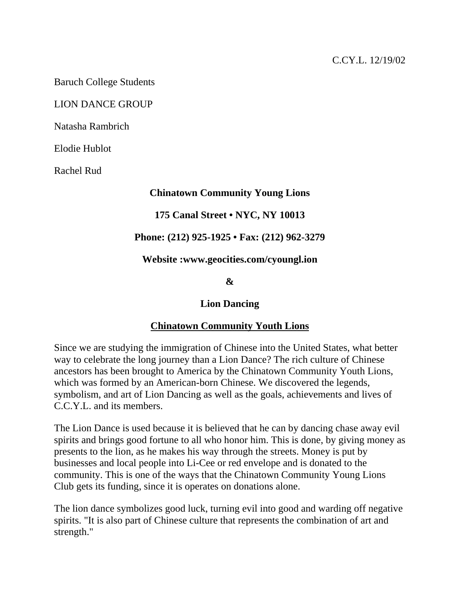Baruch College Students

#### LION DANCE GROUP

Natasha Rambrich

Elodie Hublot

Rachel Rud

#### **Chinatown Community Young Lions**

## **175 Canal Street • NYC, NY 10013**

## **Phone: (212) 925-1925 • Fax: (212) 962-3279**

**Website :www.geocities.com/cyoungl.ion** 

#### **&**

# **Lion Dancing**

# **Chinatown Community Youth Lions**

Since we are studying the immigration of Chinese into the United States, what better way to celebrate the long journey than a Lion Dance? The rich culture of Chinese ancestors has been brought to America by the Chinatown Community Youth Lions, which was formed by an American-born Chinese. We discovered the legends, symbolism, and art of Lion Dancing as well as the goals, achievements and lives of C.C.Y.L. and its members.

The Lion Dance is used because it is believed that he can by dancing chase away evil spirits and brings good fortune to all who honor him. This is done, by giving money as presents to the lion, as he makes his way through the streets. Money is put by businesses and local people into Li-Cee or red envelope and is donated to the community. This is one of the ways that the Chinatown Community Young Lions Club gets its funding, since it is operates on donations alone.

The lion dance symbolizes good luck, turning evil into good and warding off negative spirits. "It is also part of Chinese culture that represents the combination of art and strength."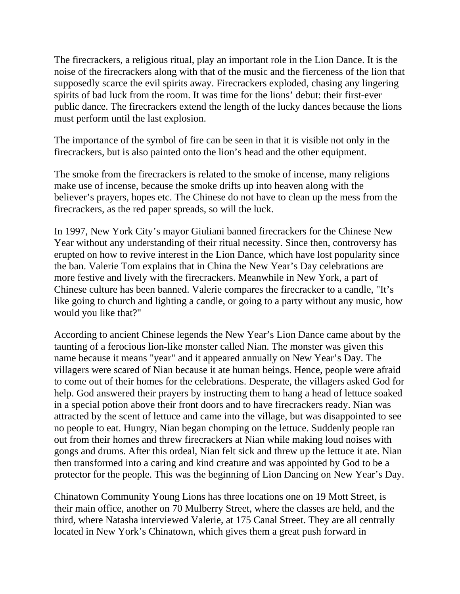The firecrackers, a religious ritual, play an important role in the Lion Dance. It is the noise of the firecrackers along with that of the music and the fierceness of the lion that supposedly scarce the evil spirits away. Firecrackers exploded, chasing any lingering spirits of bad luck from the room. It was time for the lions' debut: their first-ever public dance. The firecrackers extend the length of the lucky dances because the lions must perform until the last explosion.

The importance of the symbol of fire can be seen in that it is visible not only in the firecrackers, but is also painted onto the lion's head and the other equipment.

The smoke from the firecrackers is related to the smoke of incense, many religions make use of incense, because the smoke drifts up into heaven along with the believer's prayers, hopes etc. The Chinese do not have to clean up the mess from the firecrackers, as the red paper spreads, so will the luck.

In 1997, New York City's mayor Giuliani banned firecrackers for the Chinese New Year without any understanding of their ritual necessity. Since then, controversy has erupted on how to revive interest in the Lion Dance, which have lost popularity since the ban. Valerie Tom explains that in China the New Year's Day celebrations are more festive and lively with the firecrackers. Meanwhile in New York, a part of Chinese culture has been banned. Valerie compares the firecracker to a candle, "It's like going to church and lighting a candle, or going to a party without any music, how would you like that?"

According to ancient Chinese legends the New Year's Lion Dance came about by the taunting of a ferocious lion-like monster called Nian. The monster was given this name because it means "year" and it appeared annually on New Year's Day. The villagers were scared of Nian because it ate human beings. Hence, people were afraid to come out of their homes for the celebrations. Desperate, the villagers asked God for help. God answered their prayers by instructing them to hang a head of lettuce soaked in a special potion above their front doors and to have firecrackers ready. Nian was attracted by the scent of lettuce and came into the village, but was disappointed to see no people to eat. Hungry, Nian began chomping on the lettuce. Suddenly people ran out from their homes and threw firecrackers at Nian while making loud noises with gongs and drums. After this ordeal, Nian felt sick and threw up the lettuce it ate. Nian then transformed into a caring and kind creature and was appointed by God to be a protector for the people. This was the beginning of Lion Dancing on New Year's Day.

Chinatown Community Young Lions has three locations one on 19 Mott Street, is their main office, another on 70 Mulberry Street, where the classes are held, and the third, where Natasha interviewed Valerie, at 175 Canal Street. They are all centrally located in New York's Chinatown, which gives them a great push forward in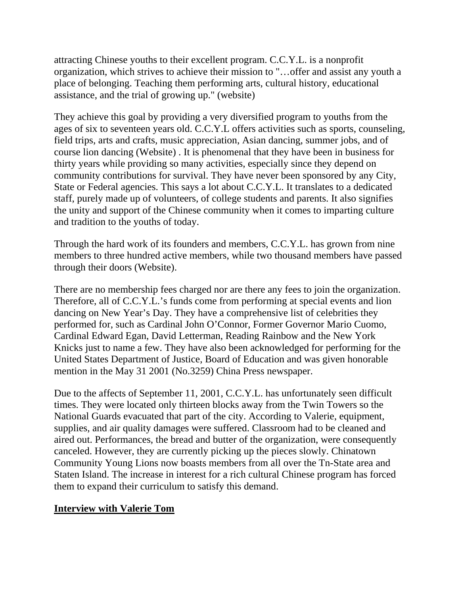attracting Chinese youths to their excellent program. C.C.Y.L. is a nonprofit organization, which strives to achieve their mission to "…offer and assist any youth a place of belonging. Teaching them performing arts, cultural history, educational assistance, and the trial of growing up." (website)

They achieve this goal by providing a very diversified program to youths from the ages of six to seventeen years old. C.C.Y.L offers activities such as sports, counseling, field trips, arts and crafts, music appreciation, Asian dancing, summer jobs, and of course lion dancing (Website) . It is phenomenal that they have been in business for thirty years while providing so many activities, especially since they depend on community contributions for survival. They have never been sponsored by any City, State or Federal agencies. This says a lot about C.C.Y.L. It translates to a dedicated staff, purely made up of volunteers, of college students and parents. It also signifies the unity and support of the Chinese community when it comes to imparting culture and tradition to the youths of today.

Through the hard work of its founders and members, C.C.Y.L. has grown from nine members to three hundred active members, while two thousand members have passed through their doors (Website).

There are no membership fees charged nor are there any fees to join the organization. Therefore, all of C.C.Y.L.'s funds come from performing at special events and lion dancing on New Year's Day. They have a comprehensive list of celebrities they performed for, such as Cardinal John O'Connor, Former Governor Mario Cuomo, Cardinal Edward Egan, David Letterman, Reading Rainbow and the New York Knicks just to name a few. They have also been acknowledged for performing for the United States Department of Justice, Board of Education and was given honorable mention in the May 31 2001 (No.3259) China Press newspaper.

Due to the affects of September 11, 2001, C.C.Y.L. has unfortunately seen difficult times. They were located only thirteen blocks away from the Twin Towers so the National Guards evacuated that part of the city. According to Valerie, equipment, supplies, and air quality damages were suffered. Classroom had to be cleaned and aired out. Performances, the bread and butter of the organization, were consequently canceled. However, they are currently picking up the pieces slowly. Chinatown Community Young Lions now boasts members from all over the Tn-State area and Staten Island. The increase in interest for a rich cultural Chinese program has forced them to expand their curriculum to satisfy this demand.

# **Interview with Valerie Tom**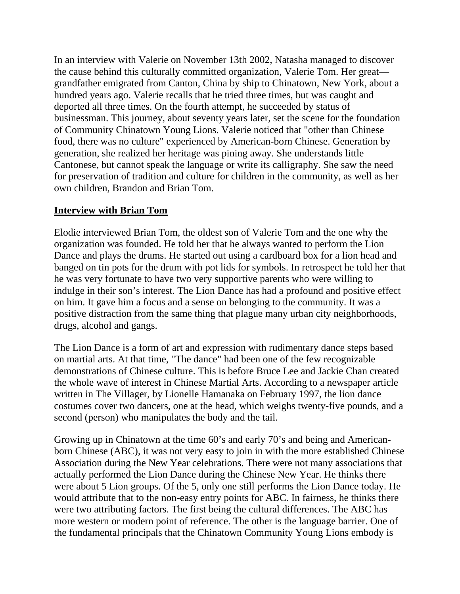In an interview with Valerie on November 13th 2002, Natasha managed to discover the cause behind this culturally committed organization, Valerie Tom. Her great grandfather emigrated from Canton, China by ship to Chinatown, New York, about a hundred years ago. Valerie recalls that he tried three times, but was caught and deported all three times. On the fourth attempt, he succeeded by status of businessman. This journey, about seventy years later, set the scene for the foundation of Community Chinatown Young Lions. Valerie noticed that "other than Chinese food, there was no culture" experienced by American-born Chinese. Generation by generation, she realized her heritage was pining away. She understands little Cantonese, but cannot speak the language or write its calligraphy. She saw the need for preservation of tradition and culture for children in the community, as well as her own children, Brandon and Brian Tom.

## **Interview with Brian Tom**

Elodie interviewed Brian Tom, the oldest son of Valerie Tom and the one why the organization was founded. He told her that he always wanted to perform the Lion Dance and plays the drums. He started out using a cardboard box for a lion head and banged on tin pots for the drum with pot lids for symbols. In retrospect he told her that he was very fortunate to have two very supportive parents who were willing to indulge in their son's interest. The Lion Dance has had a profound and positive effect on him. It gave him a focus and a sense on belonging to the community. It was a positive distraction from the same thing that plague many urban city neighborhoods, drugs, alcohol and gangs.

The Lion Dance is a form of art and expression with rudimentary dance steps based on martial arts. At that time, "The dance" had been one of the few recognizable demonstrations of Chinese culture. This is before Bruce Lee and Jackie Chan created the whole wave of interest in Chinese Martial Arts. According to a newspaper article written in The Villager, by Lionelle Hamanaka on February 1997, the lion dance costumes cover two dancers, one at the head, which weighs twenty-five pounds, and a second (person) who manipulates the body and the tail.

Growing up in Chinatown at the time 60's and early 70's and being and Americanborn Chinese (ABC), it was not very easy to join in with the more established Chinese Association during the New Year celebrations. There were not many associations that actually performed the Lion Dance during the Chinese New Year. He thinks there were about 5 Lion groups. Of the 5, only one still performs the Lion Dance today. He would attribute that to the non-easy entry points for ABC. In fairness, he thinks there were two attributing factors. The first being the cultural differences. The ABC has more western or modern point of reference. The other is the language barrier. One of the fundamental principals that the Chinatown Community Young Lions embody is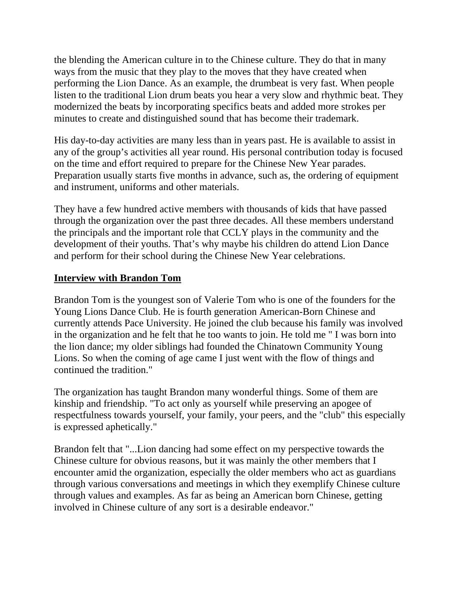the blending the American culture in to the Chinese culture. They do that in many ways from the music that they play to the moves that they have created when performing the Lion Dance. As an example, the drumbeat is very fast. When people listen to the traditional Lion drum beats you hear a very slow and rhythmic beat. They modernized the beats by incorporating specifics beats and added more strokes per minutes to create and distinguished sound that has become their trademark.

His day-to-day activities are many less than in years past. He is available to assist in any of the group's activities all year round. His personal contribution today is focused on the time and effort required to prepare for the Chinese New Year parades. Preparation usually starts five months in advance, such as, the ordering of equipment and instrument, uniforms and other materials.

They have a few hundred active members with thousands of kids that have passed through the organization over the past three decades. All these members understand the principals and the important role that CCLY plays in the community and the development of their youths. That's why maybe his children do attend Lion Dance and perform for their school during the Chinese New Year celebrations.

## **Interview with Brandon Tom**

Brandon Tom is the youngest son of Valerie Tom who is one of the founders for the Young Lions Dance Club. He is fourth generation American-Born Chinese and currently attends Pace University. He joined the club because his family was involved in the organization and he felt that he too wants to join. He told me " I was born into the lion dance; my older siblings had founded the Chinatown Community Young Lions. So when the coming of age came I just went with the flow of things and continued the tradition."

The organization has taught Brandon many wonderful things. Some of them are kinship and friendship. "To act only as yourself while preserving an apogee of respectfulness towards yourself, your family, your peers, and the "club" this especially is expressed aphetically."

Brandon felt that "...Lion dancing had some effect on my perspective towards the Chinese culture for obvious reasons, but it was mainly the other members that I encounter amid the organization, especially the older members who act as guardians through various conversations and meetings in which they exemplify Chinese culture through values and examples. As far as being an American born Chinese, getting involved in Chinese culture of any sort is a desirable endeavor."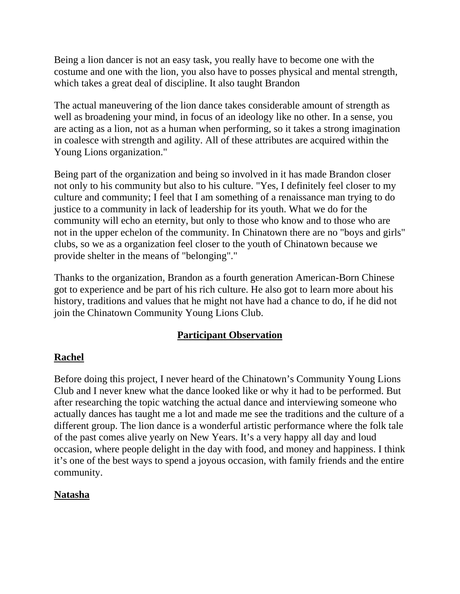Being a lion dancer is not an easy task, you really have to become one with the costume and one with the lion, you also have to posses physical and mental strength, which takes a great deal of discipline. It also taught Brandon

The actual maneuvering of the lion dance takes considerable amount of strength as well as broadening your mind, in focus of an ideology like no other. In a sense, you are acting as a lion, not as a human when performing, so it takes a strong imagination in coalesce with strength and agility. All of these attributes are acquired within the Young Lions organization."

Being part of the organization and being so involved in it has made Brandon closer not only to his community but also to his culture. "Yes, I definitely feel closer to my culture and community; I feel that I am something of a renaissance man trying to do justice to a community in lack of leadership for its youth. What we do for the community will echo an eternity, but only to those who know and to those who are not in the upper echelon of the community. In Chinatown there are no "boys and girls" clubs, so we as a organization feel closer to the youth of Chinatown because we provide shelter in the means of "belonging"."

Thanks to the organization, Brandon as a fourth generation American-Born Chinese got to experience and be part of his rich culture. He also got to learn more about his history, traditions and values that he might not have had a chance to do, if he did not join the Chinatown Community Young Lions Club.

# **Participant Observation**

# **Rachel**

Before doing this project, I never heard of the Chinatown's Community Young Lions Club and I never knew what the dance looked like or why it had to be performed. But after researching the topic watching the actual dance and interviewing someone who actually dances has taught me a lot and made me see the traditions and the culture of a different group. The lion dance is a wonderful artistic performance where the folk tale of the past comes alive yearly on New Years. It's a very happy all day and loud occasion, where people delight in the day with food, and money and happiness. I think it's one of the best ways to spend a joyous occasion, with family friends and the entire community.

# **Natasha**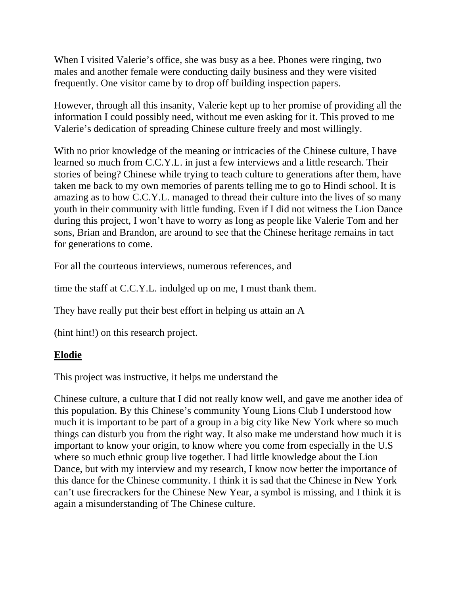When I visited Valerie's office, she was busy as a bee. Phones were ringing, two males and another female were conducting daily business and they were visited frequently. One visitor came by to drop off building inspection papers.

However, through all this insanity, Valerie kept up to her promise of providing all the information I could possibly need, without me even asking for it. This proved to me Valerie's dedication of spreading Chinese culture freely and most willingly.

With no prior knowledge of the meaning or intricacies of the Chinese culture, I have learned so much from C.C.Y.L. in just a few interviews and a little research. Their stories of being? Chinese while trying to teach culture to generations after them, have taken me back to my own memories of parents telling me to go to Hindi school. It is amazing as to how C.C.Y.L. managed to thread their culture into the lives of so many youth in their community with little funding. Even if I did not witness the Lion Dance during this project, I won't have to worry as long as people like Valerie Tom and her sons, Brian and Brandon, are around to see that the Chinese heritage remains in tact for generations to come.

For all the courteous interviews, numerous references, and

time the staff at C.C.Y.L. indulged up on me, I must thank them.

They have really put their best effort in helping us attain an A

(hint hint!) on this research project.

#### **Elodie**

This project was instructive, it helps me understand the

Chinese culture, a culture that I did not really know well, and gave me another idea of this population. By this Chinese's community Young Lions Club I understood how much it is important to be part of a group in a big city like New York where so much things can disturb you from the right way. It also make me understand how much it is important to know your origin, to know where you come from especially in the U.S where so much ethnic group live together. I had little knowledge about the Lion Dance, but with my interview and my research, I know now better the importance of this dance for the Chinese community. I think it is sad that the Chinese in New York can't use firecrackers for the Chinese New Year, a symbol is missing, and I think it is again a misunderstanding of The Chinese culture.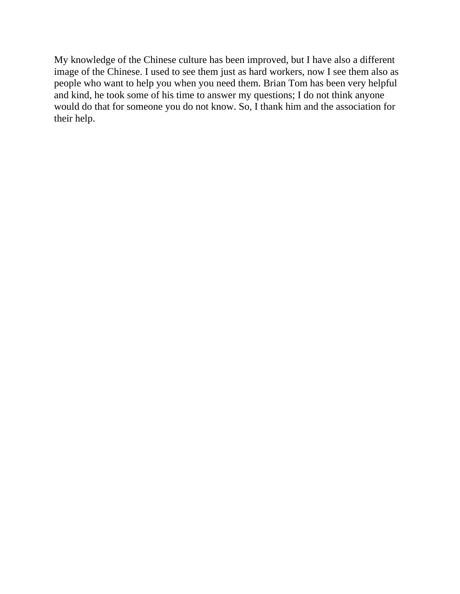My knowledge of the Chinese culture has been improved, but I have also a different image of the Chinese. I used to see them just as hard workers, now I see them also as people who want to help you when you need them. Brian Tom has been very helpful and kind, he took some of his time to answer my questions; I do not think anyone would do that for someone you do not know. So, I thank him and the association for their help.